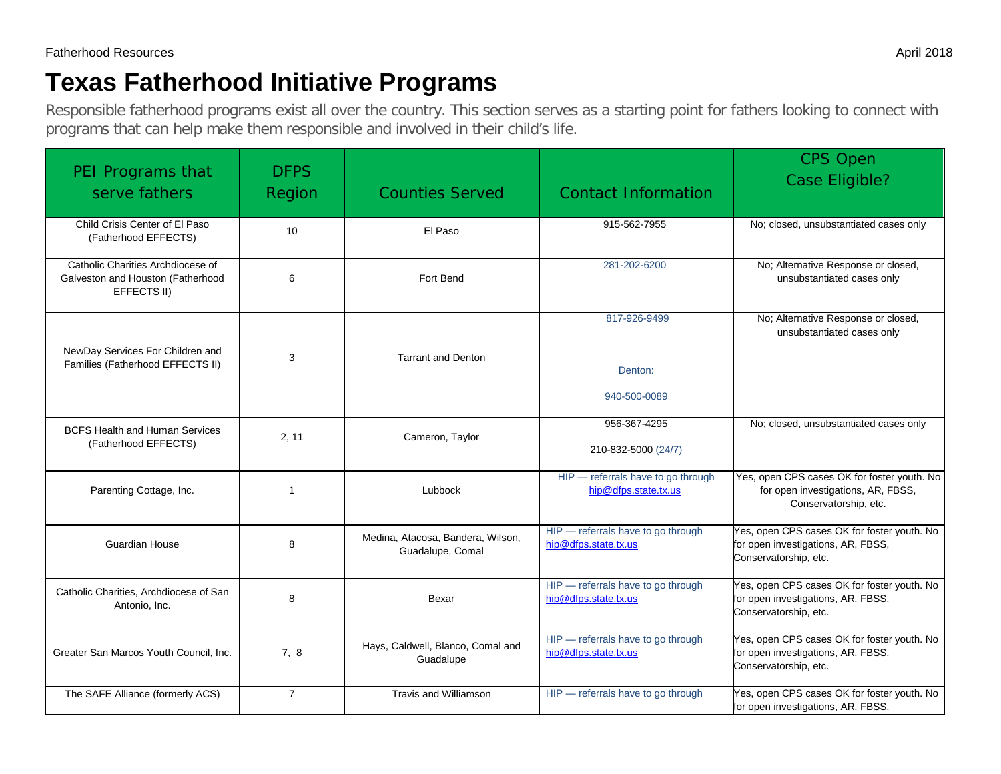# **Texas Fatherhood Initiative Programs**

Responsible fatherhood programs exist all over the country. This section serves as a starting point for fathers looking to connect with programs that can help make them responsible and involved in their child's life.

| PEI Programs that<br>serve fathers                                                    | <b>DFPS</b><br>Region | <b>Counties Served</b>                                | <b>Contact Information</b>                                 | <b>CPS Open</b><br><b>Case Eligible?</b>                                                                   |
|---------------------------------------------------------------------------------------|-----------------------|-------------------------------------------------------|------------------------------------------------------------|------------------------------------------------------------------------------------------------------------|
| Child Crisis Center of El Paso<br>(Fatherhood EFFECTS)                                | 10                    | El Paso                                               | 915-562-7955                                               | No; closed, unsubstantiated cases only                                                                     |
| Catholic Charities Archdiocese of<br>Galveston and Houston (Fatherhood<br>EFFECTS II) | 6                     | Fort Bend                                             | 281-202-6200                                               | No; Alternative Response or closed,<br>unsubstantiated cases only                                          |
| NewDay Services For Children and<br>Families (Fatherhood EFFECTS II)                  | 3                     | <b>Tarrant and Denton</b>                             | 817-926-9499<br>Denton:<br>940-500-0089                    | No; Alternative Response or closed,<br>unsubstantiated cases only                                          |
| <b>BCFS Health and Human Services</b><br>(Fatherhood EFFECTS)                         | 2.11                  | Cameron, Taylor                                       | 956-367-4295<br>210-832-5000 (24/7)                        | No; closed, unsubstantiated cases only                                                                     |
| Parenting Cottage, Inc.                                                               | $\mathbf{1}$          | Lubbock                                               | HIP - referrals have to go through<br>hip@dfps.state.tx.us | Yes, open CPS cases OK for foster youth. No<br>for open investigations, AR, FBSS,<br>Conservatorship, etc. |
| <b>Guardian House</b>                                                                 | 8                     | Medina, Atacosa, Bandera, Wilson,<br>Guadalupe, Comal | HIP - referrals have to go through<br>hip@dfps.state.tx.us | Yes, open CPS cases OK for foster youth. No<br>for open investigations, AR, FBSS,<br>Conservatorship, etc. |
| Catholic Charities, Archdiocese of San<br>Antonio, Inc.                               | 8                     | Bexar                                                 | HIP - referrals have to go through<br>hip@dfps.state.tx.us | Yes, open CPS cases OK for foster youth. No<br>for open investigations, AR, FBSS,<br>Conservatorship, etc. |
| Greater San Marcos Youth Council, Inc.                                                | 7,8                   | Hays, Caldwell, Blanco, Comal and<br>Guadalupe        | HIP - referrals have to go through<br>hip@dfps.state.tx.us | Yes, open CPS cases OK for foster youth. No<br>for open investigations, AR, FBSS,<br>Conservatorship, etc. |
| The SAFE Alliance (formerly ACS)                                                      | $\overline{7}$        | <b>Travis and Williamson</b>                          | HIP - referrals have to go through                         | Yes, open CPS cases OK for foster youth. No<br>for open investigations, AR, FBSS,                          |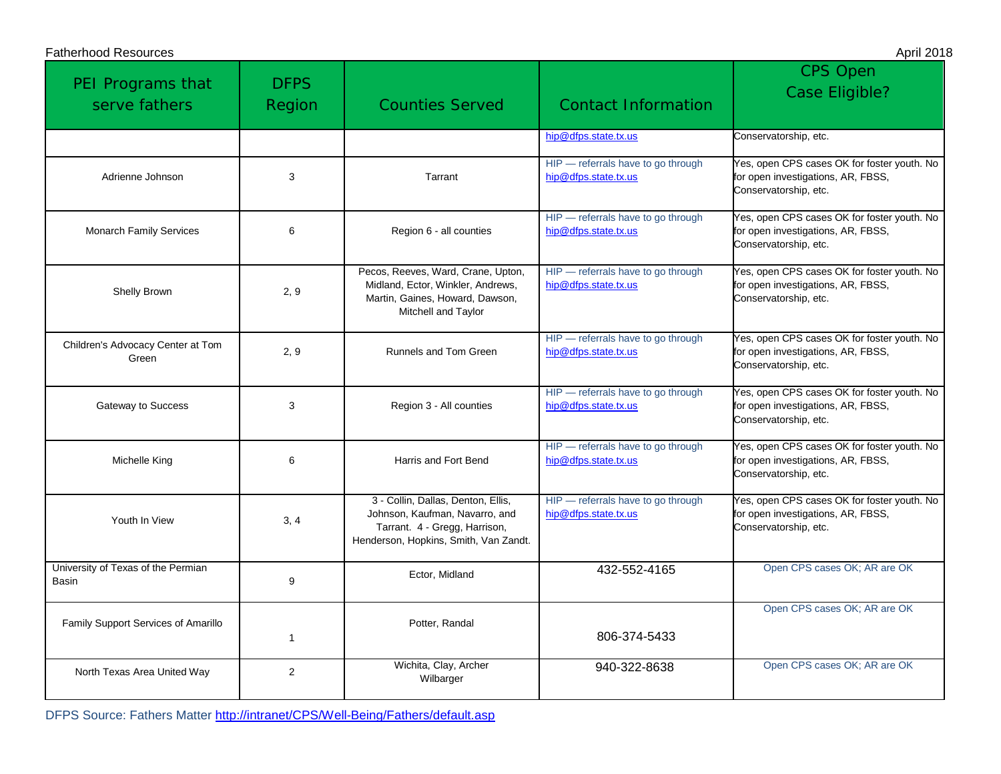| <b>Fatherhood Resources</b>                 |                       |                                                                                                                                                |                                                            | April 2018                                                                                                 |
|---------------------------------------------|-----------------------|------------------------------------------------------------------------------------------------------------------------------------------------|------------------------------------------------------------|------------------------------------------------------------------------------------------------------------|
| PEI Programs that<br>serve fathers          | <b>DFPS</b><br>Region | <b>Counties Served</b>                                                                                                                         | <b>Contact Information</b>                                 | <b>CPS Open</b><br><b>Case Eligible?</b>                                                                   |
|                                             |                       |                                                                                                                                                | hip@dfps.state.tx.us                                       | Conservatorship, etc.                                                                                      |
| Adrienne Johnson                            | 3                     | Tarrant                                                                                                                                        | HIP - referrals have to go through<br>hip@dfps.state.tx.us | Yes, open CPS cases OK for foster youth. No<br>for open investigations, AR, FBSS,<br>Conservatorship, etc. |
| <b>Monarch Family Services</b>              | 6                     | Region 6 - all counties                                                                                                                        | HIP - referrals have to go through<br>hip@dfps.state.tx.us | Yes, open CPS cases OK for foster youth. No<br>for open investigations, AR, FBSS,<br>Conservatorship, etc. |
| Shelly Brown                                | 2, 9                  | Pecos, Reeves, Ward, Crane, Upton,<br>Midland, Ector, Winkler, Andrews,<br>Martin, Gaines, Howard, Dawson,<br>Mitchell and Taylor              | HIP - referrals have to go through<br>hip@dfps.state.tx.us | Yes, open CPS cases OK for foster youth. No<br>for open investigations, AR, FBSS,<br>Conservatorship, etc. |
| Children's Advocacy Center at Tom<br>Green  | 2, 9                  | Runnels and Tom Green                                                                                                                          | HIP - referrals have to go through<br>hip@dfps.state.tx.us | Yes, open CPS cases OK for foster youth. No<br>for open investigations, AR, FBSS,<br>Conservatorship, etc. |
| Gateway to Success                          | 3                     | Region 3 - All counties                                                                                                                        | HIP - referrals have to go through<br>hip@dfps.state.tx.us | Yes, open CPS cases OK for foster youth. No<br>for open investigations, AR, FBSS,<br>Conservatorship, etc. |
| Michelle King                               | 6                     | Harris and Fort Bend                                                                                                                           | HIP - referrals have to go through<br>hip@dfps.state.tx.us | Yes, open CPS cases OK for foster youth. No<br>for open investigations, AR, FBSS,<br>Conservatorship, etc. |
| Youth In View                               | 3, 4                  | 3 - Collin, Dallas, Denton, Ellis,<br>Johnson, Kaufman, Navarro, and<br>Tarrant. 4 - Gregg, Harrison,<br>Henderson, Hopkins, Smith, Van Zandt. | HIP - referrals have to go through<br>hip@dfps.state.tx.us | Yes, open CPS cases OK for foster youth. No<br>for open investigations, AR, FBSS,<br>Conservatorship, etc. |
| University of Texas of the Permian<br>Basin | 9                     | Ector, Midland                                                                                                                                 | 432-552-4165                                               | Open CPS cases OK; AR are OK                                                                               |
| Family Support Services of Amarillo         | 1                     | Potter, Randal                                                                                                                                 | 806-374-5433                                               | Open CPS cases OK; AR are OK                                                                               |
| North Texas Area United Way                 | 2                     | Wichita, Clay, Archer<br>Wilbarger                                                                                                             | 940-322-8638                                               | Open CPS cases OK; AR are OK                                                                               |

DFPS Source: Fathers Matter<http://intranet/CPS/Well-Being/Fathers/default.asp>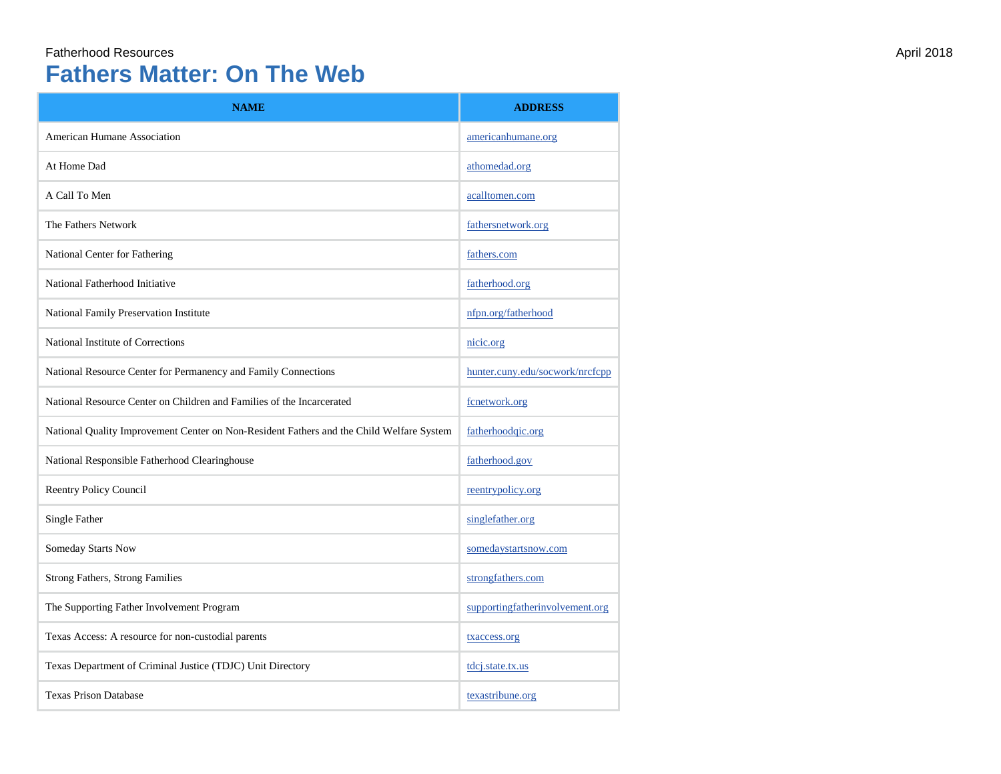## Fatherhood Resources April 2018 **Fathers Matter: On The Web**

| <b>NAME</b>                                                                              | <b>ADDRESS</b>                  |
|------------------------------------------------------------------------------------------|---------------------------------|
| American Humane Association                                                              | americanhumane.org              |
| At Home Dad                                                                              | athomedad.org                   |
| A Call To Men                                                                            | acalltomen.com                  |
| The Fathers Network                                                                      | fathersnetwork.org              |
| National Center for Fathering                                                            | fathers.com                     |
| National Fatherhood Initiative                                                           | fatherhood.org                  |
| National Family Preservation Institute                                                   | nfpn.org/fatherhood             |
| National Institute of Corrections                                                        | nicic.org                       |
| National Resource Center for Permanency and Family Connections                           | hunter.cuny.edu/socwork/nrcfcpp |
| National Resource Center on Children and Families of the Incarcerated                    | fcnetwork.org                   |
| National Quality Improvement Center on Non-Resident Fathers and the Child Welfare System | fatherhoodqic.org               |
| National Responsible Fatherhood Clearinghouse                                            | fatherhood.gov                  |
| <b>Reentry Policy Council</b>                                                            | reentrypolicy.org               |
| Single Father                                                                            | singlefather.org                |
| Someday Starts Now                                                                       | somedaystartsnow.com            |
| <b>Strong Fathers, Strong Families</b>                                                   | strongfathers.com               |
| The Supporting Father Involvement Program                                                | supportingfatherinvolvement.org |
| Texas Access: A resource for non-custodial parents                                       | txaccess.org                    |
| Texas Department of Criminal Justice (TDJC) Unit Directory                               | tdcj.state.tx.us                |
| <b>Texas Prison Database</b>                                                             | texastribune.org                |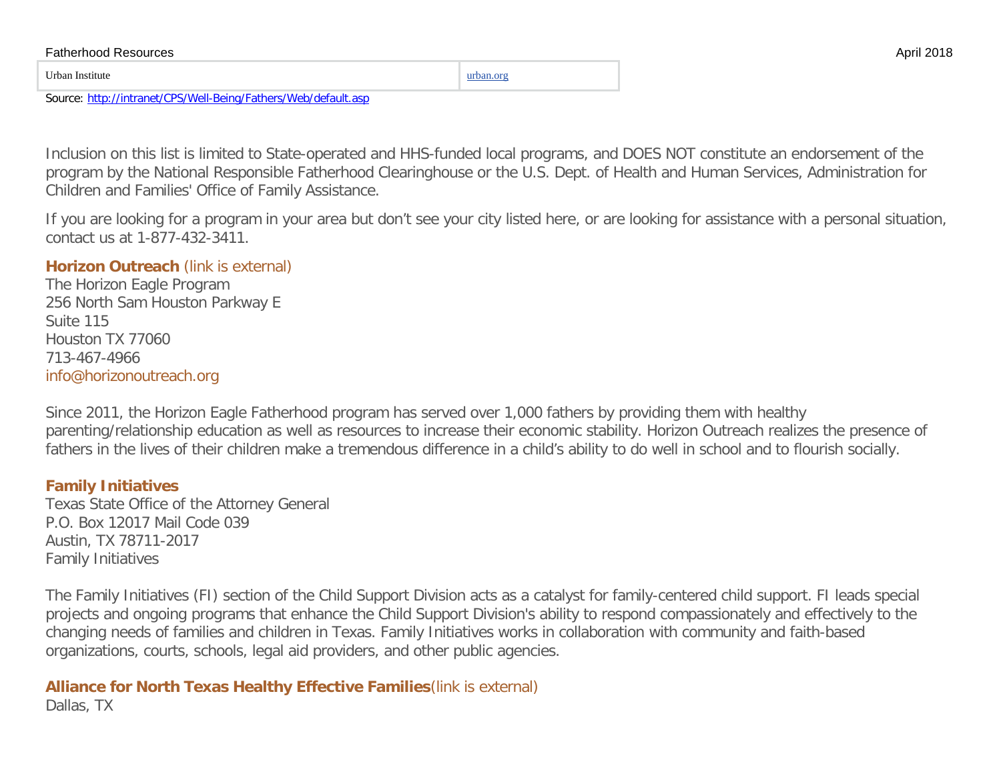|           | <b>Fatherhood Resources</b> | 2018 |
|-----------|-----------------------------|------|
| urban.org | Urban Institute             |      |

Source:<http://intranet/CPS/Well-Being/Fathers/Web/default.asp>

Inclusion on this list is limited to State-operated and HHS-funded local programs, and DOES NOT constitute an endorsement of the program by the National Responsible Fatherhood Clearinghouse or the U.S. Dept. of Health and Human Services, Administration for Children and Families' Office of Family Assistance.

If you are looking for a program in your area but don't see your city listed here, or are looking for assistance with a personal situation, contact us at 1-877-432-3411.

#### **[Horizon Outreach](http://www.horizonoutreach.org/Horizon-Eagle)** (link is external)

The Horizon Eagle Program 256 North Sam Houston Parkway E Suite 115 Houston TX 77060 713-467-4966 [info@horizonoutreach.org](mailto:info@horizonoutreach.org)

Since 2011, the Horizon Eagle Fatherhood program has served over 1,000 fathers by providing them with healthy parenting/relationship education as well as resources to increase their economic stability. Horizon Outreach realizes the presence of fathers in the lives of their children make a tremendous difference in a child's ability to do well in school and to flourish socially.

#### **[Family Initiatives](https://www.texasattorneygeneral.gov/cs/family-initiatives)**

Texas State Office of the Attorney General P.O. Box 12017 Mail Code 039 Austin, TX 78711-2017 Family Initiatives

The Family Initiatives (FI) section of the Child Support Division acts as a catalyst for family-centered child support. FI leads special projects and ongoing programs that enhance the Child Support Division's ability to respond compassionately and effectively to the changing needs of families and children in Texas. Family Initiatives works in collaboration with community and faith-based organizations, courts, schools, legal aid providers, and other public agencies.

#### **[Alliance for North Texas Healthy Effective Families](http://www.bethechampion.org/)**(link is external) Dallas, TX